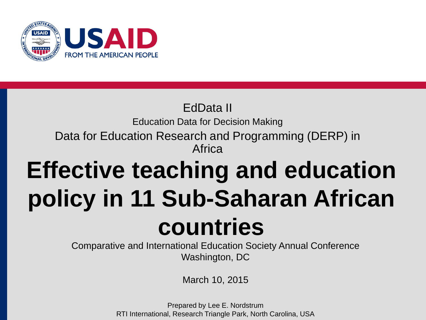

## **Effective teaching and education policy in 11 Sub-Saharan African countries** EdData II Education Data for Decision Making Data for Education Research and Programming (DERP) in Africa

Comparative and International Education Society Annual Conference Washington, DC

March 10, 2015

Prepared by Lee E. Nordstrum RTI International, Research Triangle Park, North Carolina, USA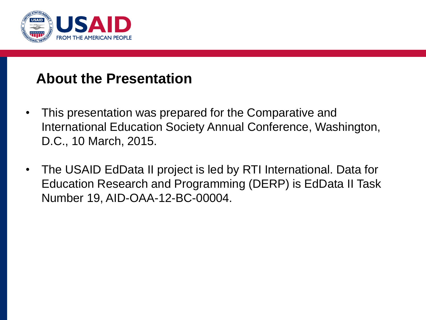

#### **About the Presentation**

- This presentation was prepared for the Comparative and International Education Society Annual Conference, Washington, D.C., 10 March, 2015.
- The USAID EdData II project is led by RTI International. Data for Education Research and Programming (DERP) is EdData II Task Number 19, AID-OAA-12-BC-00004.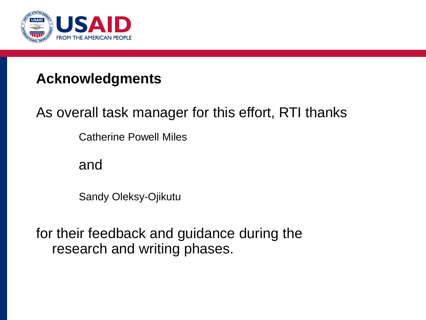

#### **Acknowledgments**

### As overall task manager for this effort, RTI thanks

Catherine Powell Miles

and

Sandy Oleksy-Ojikutu

for their feedback and guidance during the research and writing phases.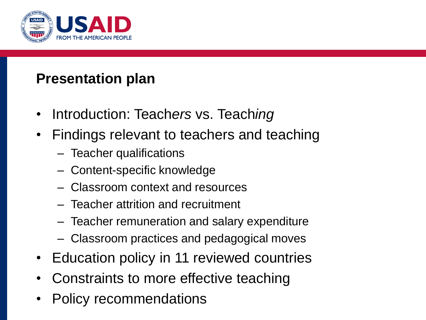

#### **Presentation plan**

- Introduction: Teach*ers* vs. Teach*ing*
- Findings relevant to teachers and teaching
	- Teacher qualifications
	- Content-specific knowledge
	- Classroom context and resources
	- Teacher attrition and recruitment
	- Teacher remuneration and salary expenditure
	- Classroom practices and pedagogical moves
- Education policy in 11 reviewed countries
- Constraints to more effective teaching
- Policy recommendations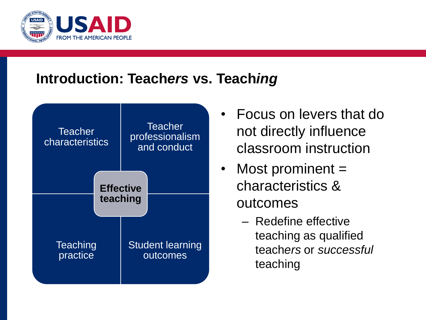

#### **Introduction: Teach***ers* **vs. Teach***ing*



- Focus on levers that do not directly influence classroom instruction
- Most prominent  $=$ characteristics & outcomes
	- Redefine effective teaching as qualified teach*ers* or *successful* teaching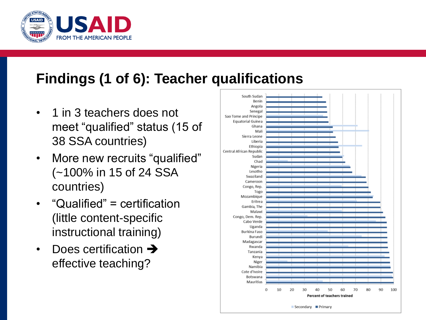

#### **Findings (1 of 6): Teacher qualifications**

- 1 in 3 teachers does not meet "qualified" status (15 of 38 SSA countries)
- More new recruits "qualified" (~100% in 15 of 24 SSA countries)
- "Qualified" = certification (little content-specific instructional training)
- Does certification  $\rightarrow$ effective teaching?

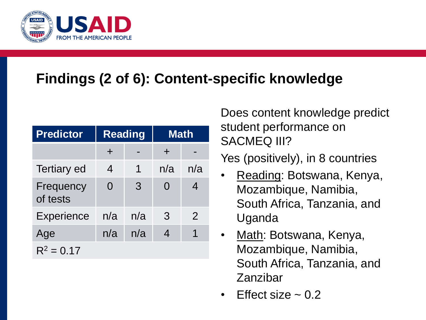

### **Findings (2 of 6): Content-specific knowledge**

| <b>Predictor</b>      | <b>Reading</b> |     | <b>Math</b>    |                |
|-----------------------|----------------|-----|----------------|----------------|
|                       | $\pm$          |     | $\div$         |                |
| <b>Tertiary ed</b>    | $\overline{4}$ | 1   | n/a            | n/a            |
| Frequency<br>of tests | 0              | 3   | 0              | 4              |
| <b>Experience</b>     | n/a            | n/a | 3              | $\overline{2}$ |
| Age                   | n/a            | n/a | $\overline{4}$ |                |
| $R^2 = 0.17$          |                |     |                |                |

Does content knowledge predict student performance on SACMEQ III?

Yes (positively), in 8 countries

- Reading: Botswana, Kenya, Mozambique, Namibia, South Africa, Tanzania, and Uganda
- Math: Botswana, Kenya, Mozambique, Namibia, South Africa, Tanzania, and Zanzibar
- Fffect size  $\sim$  0.2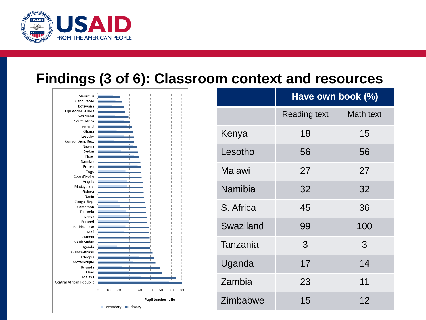

#### **Findings (3 of 6): Classroom context and resources**



|           | Have own book (%)   |           |  |
|-----------|---------------------|-----------|--|
|           | <b>Reading text</b> | Math text |  |
| Kenya     | 18                  | 15        |  |
| Lesotho   | 56                  | 56        |  |
| Malawi    | 27                  | 27        |  |
| Namibia   | 32                  | 32        |  |
| S. Africa | 45                  | 36        |  |
| Swaziland | 99                  | 100       |  |
| Tanzania  | 3                   | 3         |  |
| Uganda    | 17                  | 14        |  |
| Zambia    | 23                  | 11        |  |
| Zimbabwe  | 15                  | 12        |  |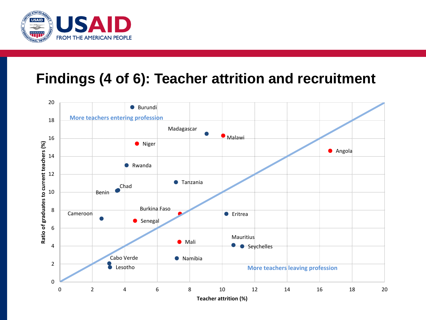

#### **Findings (4 of 6): Teacher attrition and recruitment**

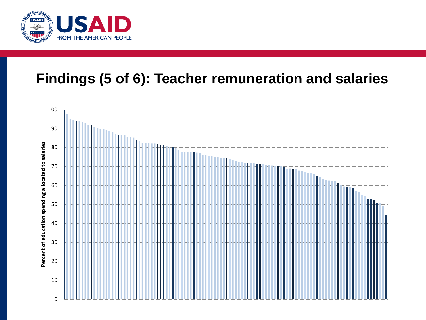

#### **Findings (5 of 6): Teacher remuneration and salaries**

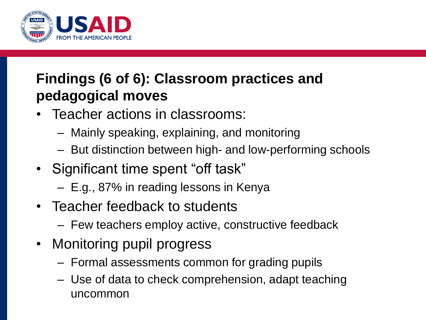

### **Findings (6 of 6): Classroom practices and pedagogical moves**

- Teacher actions in classrooms:
	- Mainly speaking, explaining, and monitoring
	- But distinction between high- and low-performing schools
- Significant time spent "off task"
	- E.g., 87% in reading lessons in Kenya
- Teacher feedback to students
	- Few teachers employ active, constructive feedback
- Monitoring pupil progress
	- Formal assessments common for grading pupils
	- Use of data to check comprehension, adapt teaching uncommon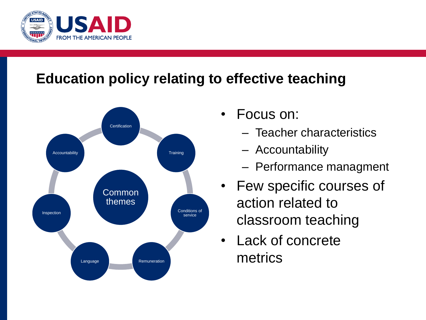

### **Education policy relating to effective teaching**



- Focus on:
	- Teacher characteristics
	- Accountability
	- Performance managment
- Few specific courses of action related to classroom teaching
- Lack of concrete metrics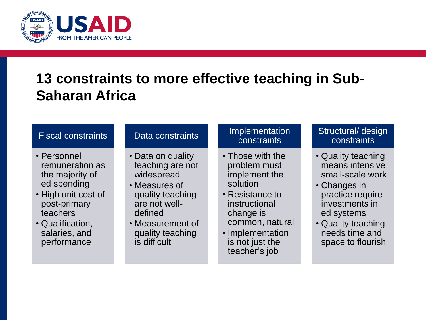

#### **13 constraints to more effective teaching in Sub-Saharan Africa**

#### Fiscal constraints

- Personnel remuneration as the majority of ed spending
- High unit cost of post-primary teachers
- Qualification, salaries, and performance

#### Data constraints

- Data on quality teaching are not widespread
- Measures of quality teaching are not welldefined
- Measurement of quality teaching is difficult

#### Implementation constraints

- Those with the problem must implement the solution
- Resistance to instructional change is common, natural
- Implementation is not just the teacher's job

#### Structural/ design constraints

- Quality teaching means intensive small-scale work
- Changes in practice require investments in ed systems
- Quality teaching needs time and space to flourish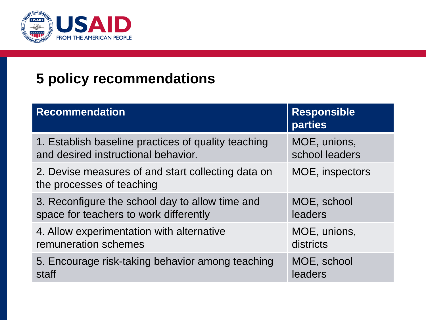

### **5 policy recommendations**

| <b>Recommendation</b>                                                           | <b>Responsible</b><br><b>parties</b> |  |
|---------------------------------------------------------------------------------|--------------------------------------|--|
| 1. Establish baseline practices of quality teaching                             | MOE, unions,                         |  |
| and desired instructional behavior.                                             | school leaders                       |  |
| 2. Devise measures of and start collecting data on<br>the processes of teaching | MOE, inspectors                      |  |
| 3. Reconfigure the school day to allow time and                                 | MOE, school                          |  |
| space for teachers to work differently                                          | leaders                              |  |
| 4. Allow experimentation with alternative                                       | MOE, unions,                         |  |
| remuneration schemes                                                            | districts                            |  |
| 5. Encourage risk-taking behavior among teaching                                | MOE, school                          |  |
| staff                                                                           | leaders                              |  |